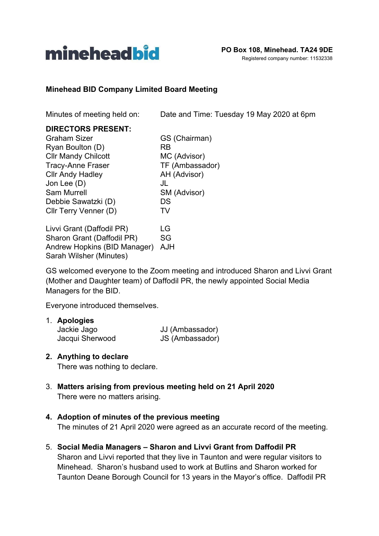

### **Minehead BID Company Limited Board Meeting**

Minutes of meeting held on: Date and Time: Tuesday 19 May 2020 at 6pm

### **DIRECTORS PRESENT:**

Graham Sizer GS (Chairman) Ryan Boulton (D) RB Cllr Mandy Chilcott MC (Advisor) Tracy-Anne Fraser TF (Ambassador)<br>Cllr Andy Hadley AH (Advisor) Cllr Andy Hadley Jon Lee (D) JL Sam Murrell SM (Advisor) Debbie Sawatzki (D) DS Cllr Terry Venner (D) TV

Livvi Grant (Daffodil PR) LG Sharon Grant (Daffodil PR) SG Andrew Hopkins (BID Manager) AJH Sarah Wilsher (Minutes)

GS welcomed everyone to the Zoom meeting and introduced Sharon and Livvi Grant (Mother and Daughter team) of Daffodil PR, the newly appointed Social Media Managers for the BID.

Everyone introduced themselves.

| 1. Apologies    |                 |
|-----------------|-----------------|
| Jackie Jago     | JJ (Ambassador) |
| Jacqui Sherwood | JS (Ambassador) |

#### **2. Anything to declare**

There was nothing to declare.

3. **Matters arising from previous meeting held on 21 April 2020** There were no matters arising.

# **4. Adoption of minutes of the previous meeting**

The minutes of 21 April 2020 were agreed as an accurate record of the meeting.

5. **Social Media Managers – Sharon and Livvi Grant from Daffodil PR** Sharon and Livvi reported that they live in Taunton and were regular visitors to Minehead. Sharon's husband used to work at Butlins and Sharon worked for Taunton Deane Borough Council for 13 years in the Mayor's office. Daffodil PR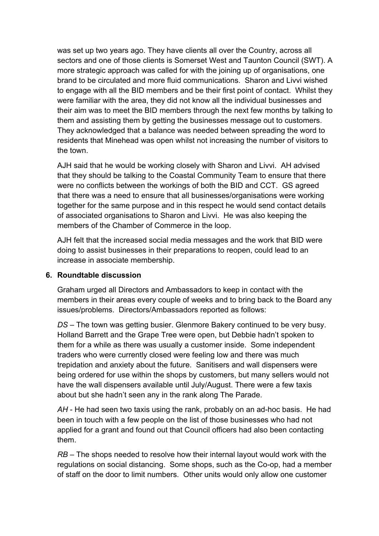was set up two years ago. They have clients all over the Country, across all sectors and one of those clients is Somerset West and Taunton Council (SWT). A more strategic approach was called for with the joining up of organisations, one brand to be circulated and more fluid communications. Sharon and Livvi wished to engage with all the BID members and be their first point of contact. Whilst they were familiar with the area, they did not know all the individual businesses and their aim was to meet the BID members through the next few months by talking to them and assisting them by getting the businesses message out to customers. They acknowledged that a balance was needed between spreading the word to residents that Minehead was open whilst not increasing the number of visitors to the town.

AJH said that he would be working closely with Sharon and Livvi. AH advised that they should be talking to the Coastal Community Team to ensure that there were no conflicts between the workings of both the BID and CCT. GS agreed that there was a need to ensure that all businesses/organisations were working together for the same purpose and in this respect he would send contact details of associated organisations to Sharon and Livvi. He was also keeping the members of the Chamber of Commerce in the loop.

AJH felt that the increased social media messages and the work that BID were doing to assist businesses in their preparations to reopen, could lead to an increase in associate membership.

# **6. Roundtable discussion**

Graham urged all Directors and Ambassadors to keep in contact with the members in their areas every couple of weeks and to bring back to the Board any issues/problems. Directors/Ambassadors reported as follows:

*DS* – The town was getting busier. Glenmore Bakery continued to be very busy. Holland Barrett and the Grape Tree were open, but Debbie hadn't spoken to them for a while as there was usually a customer inside. Some independent traders who were currently closed were feeling low and there was much trepidation and anxiety about the future. Sanitisers and wall dispensers were being ordered for use within the shops by customers, but many sellers would not have the wall dispensers available until July/August. There were a few taxis about but she hadn't seen any in the rank along The Parade.

*AH* - He had seen two taxis using the rank, probably on an ad-hoc basis. He had been in touch with a few people on the list of those businesses who had not applied for a grant and found out that Council officers had also been contacting them.

*RB –* The shops needed to resolve how their internal layout would work with the regulations on social distancing. Some shops, such as the Co-op, had a member of staff on the door to limit numbers. Other units would only allow one customer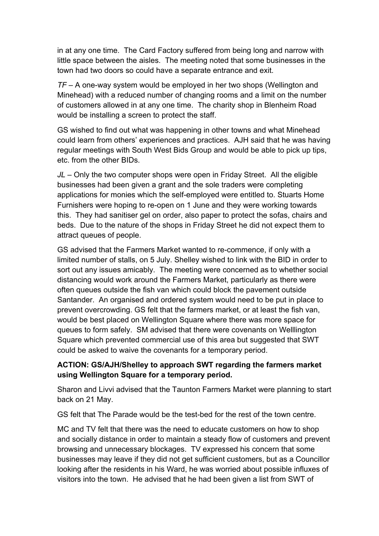in at any one time. The Card Factory suffered from being long and narrow with little space between the aisles. The meeting noted that some businesses in the town had two doors so could have a separate entrance and exit.

*TF* – A one-way system would be employed in her two shops (Wellington and Minehead) with a reduced number of changing rooms and a limit on the number of customers allowed in at any one time. The charity shop in Blenheim Road would be installing a screen to protect the staff.

GS wished to find out what was happening in other towns and what Minehead could learn from others' experiences and practices. AJH said that he was having regular meetings with South West Bids Group and would be able to pick up tips, etc. from the other BIDs.

*JL –* Only the two computer shops were open in Friday Street. All the eligible businesses had been given a grant and the sole traders were completing applications for monies which the self-employed were entitled to. Stuarts Home Furnishers were hoping to re-open on 1 June and they were working towards this. They had sanitiser gel on order, also paper to protect the sofas, chairs and beds. Due to the nature of the shops in Friday Street he did not expect them to attract queues of people.

GS advised that the Farmers Market wanted to re-commence, if only with a limited number of stalls, on 5 July. Shelley wished to link with the BID in order to sort out any issues amicably. The meeting were concerned as to whether social distancing would work around the Farmers Market, particularly as there were often queues outside the fish van which could block the pavement outside Santander. An organised and ordered system would need to be put in place to prevent overcrowding. GS felt that the farmers market, or at least the fish van, would be best placed on Wellington Square where there was more space for queues to form safely. SM advised that there were covenants on Welllington Square which prevented commercial use of this area but suggested that SWT could be asked to waive the covenants for a temporary period.

# **ACTION: GS/AJH/Shelley to approach SWT regarding the farmers market using Wellington Square for a temporary period.**

Sharon and Livvi advised that the Taunton Farmers Market were planning to start back on 21 May.

GS felt that The Parade would be the test-bed for the rest of the town centre.

MC and TV felt that there was the need to educate customers on how to shop and socially distance in order to maintain a steady flow of customers and prevent browsing and unnecessary blockages. TV expressed his concern that some businesses may leave if they did not get sufficient customers, but as a Councillor looking after the residents in his Ward, he was worried about possible influxes of visitors into the town. He advised that he had been given a list from SWT of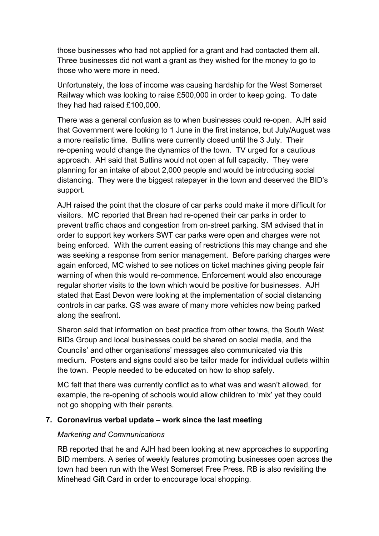those businesses who had not applied for a grant and had contacted them all. Three businesses did not want a grant as they wished for the money to go to those who were more in need.

Unfortunately, the loss of income was causing hardship for the West Somerset Railway which was looking to raise £500,000 in order to keep going. To date they had had raised £100,000.

There was a general confusion as to when businesses could re-open. AJH said that Government were looking to 1 June in the first instance, but July/August was a more realistic time. Butlins were currently closed until the 3 July. Their re-opening would change the dynamics of the town. TV urged for a cautious approach. AH said that Butlins would not open at full capacity. They were planning for an intake of about 2,000 people and would be introducing social distancing. They were the biggest ratepayer in the town and deserved the BID's support.

AJH raised the point that the closure of car parks could make it more difficult for visitors. MC reported that Brean had re-opened their car parks in order to prevent traffic chaos and congestion from on-street parking. SM advised that in order to support key workers SWT car parks were open and charges were not being enforced. With the current easing of restrictions this may change and she was seeking a response from senior management. Before parking charges were again enforced, MC wished to see notices on ticket machines giving people fair warning of when this would re-commence. Enforcement would also encourage regular shorter visits to the town which would be positive for businesses. AJH stated that East Devon were looking at the implementation of social distancing controls in car parks. GS was aware of many more vehicles now being parked along the seafront.

Sharon said that information on best practice from other towns, the South West BIDs Group and local businesses could be shared on social media, and the Councils' and other organisations' messages also communicated via this medium. Posters and signs could also be tailor made for individual outlets within the town. People needed to be educated on how to shop safely.

MC felt that there was currently conflict as to what was and wasn't allowed, for example, the re-opening of schools would allow children to 'mix' yet they could not go shopping with their parents.

#### **7. Coronavirus verbal update – work since the last meeting**

#### *Marketing and Communications*

RB reported that he and AJH had been looking at new approaches to supporting BID members. A series of weekly features promoting businesses open across the town had been run with the West Somerset Free Press. RB is also revisiting the Minehead Gift Card in order to encourage local shopping.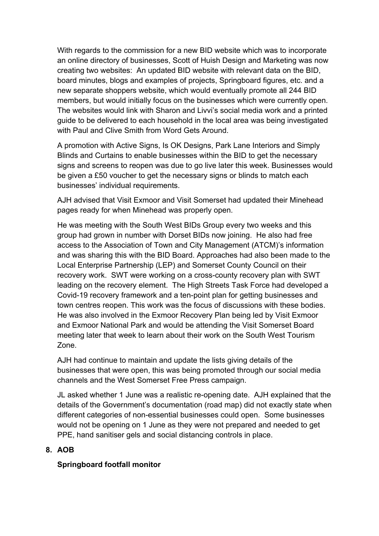With regards to the commission for a new BID website which was to incorporate an online directory of businesses, Scott of Huish Design and Marketing was now creating two websites: An updated BID website with relevant data on the BID, board minutes, blogs and examples of projects, Springboard figures, etc. and a new separate shoppers website, which would eventually promote all 244 BID members, but would initially focus on the businesses which were currently open. The websites would link with Sharon and Livvi's social media work and a printed guide to be delivered to each household in the local area was being investigated with Paul and Clive Smith from Word Gets Around.

A promotion with Active Signs, Is OK Designs, Park Lane Interiors and Simply Blinds and Curtains to enable businesses within the BID to get the necessary signs and screens to reopen was due to go live later this week. Businesses would be given a £50 voucher to get the necessary signs or blinds to match each businesses' individual requirements.

AJH advised that Visit Exmoor and Visit Somerset had updated their Minehead pages ready for when Minehead was properly open.

He was meeting with the South West BIDs Group every two weeks and this group had grown in number with Dorset BIDs now joining. He also had free access to the Association of Town and City Management (ATCM)'s information and was sharing this with the BID Board. Approaches had also been made to the Local Enterprise Partnership (LEP) and Somerset County Council on their recovery work. SWT were working on a cross-county recovery plan with SWT leading on the recovery element. The High Streets Task Force had developed a Covid-19 recovery framework and a ten-point plan for getting businesses and town centres reopen. This work was the focus of discussions with these bodies. He was also involved in the Exmoor Recovery Plan being led by Visit Exmoor and Exmoor National Park and would be attending the Visit Somerset Board meeting later that week to learn about their work on the South West Tourism Zone.

AJH had continue to maintain and update the lists giving details of the businesses that were open, this was being promoted through our social media channels and the West Somerset Free Press campaign.

JL asked whether 1 June was a realistic re-opening date. AJH explained that the details of the Government's documentation (road map) did not exactly state when different categories of non-essential businesses could open. Some businesses would not be opening on 1 June as they were not prepared and needed to get PPE, hand sanitiser gels and social distancing controls in place.

# **8. AOB**

# **Springboard footfall monitor**